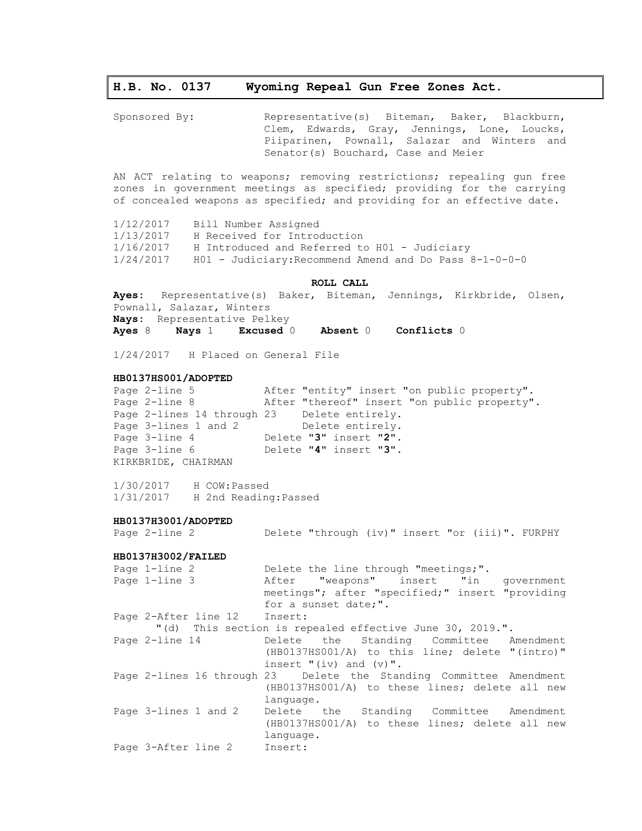# **H.B. No. 0137 Wyoming Repeal Gun Free Zones Act.**

Sponsored By: Representative(s) Biteman, Baker, Blackburn, Clem, Edwards, Gray, Jennings, Lone, Loucks, Piiparinen, Pownall, Salazar and Winters and Senator(s) Bouchard, Case and Meier

AN ACT relating to weapons; removing restrictions; repealing gun free zones in government meetings as specified; providing for the carrying of concealed weapons as specified; and providing for an effective date.

1/12/2017 Bill Number Assigned 1/13/2017 H Received for Introduction 1/16/2017 H Introduced and Referred to H01 - Judiciary 1/24/2017 H01 - Judiciary:Recommend Amend and Do Pass 8-1-0-0-0

# **ROLL CALL**

**Ayes:** Representative(s) Baker, Biteman, Jennings, Kirkbride, Olsen, Pownall, Salazar, Winters **Nays:** Representative Pelkey **Ayes** 8 **Nays** 1 **Excused** 0 **Absent** 0 **Conflicts** 0

1/24/2017 H Placed on General File

# **HB0137HS001/ADOPTED**

Page 2-line 5 After "entity" insert "on public property". Page 2-line 8 After "thereof" insert "on public property". Page 2-lines 14 through 23 Delete entirely. Page 3-lines 1 and 2 Delete entirely. Page 3-line 4 Delete "**3**" insert "**2**". Page 3-line 6 Delete "**4**" insert "**3**". KIRKBRIDE, CHAIRMAN

1/30/2017 H COW:Passed 1/31/2017 H 2nd Reading:Passed

### **HB0137H3001/ADOPTED**

Page 2-line 2 Delete "through (iv)" insert "or (iii)". FURPHY

# **HB0137H3002/FAILED**

| Page 1-line 2                | Delete the line through "meetings;".                               |
|------------------------------|--------------------------------------------------------------------|
| Page 1-line 3                | After "weapons" insert "in government                              |
|                              | meetings"; after "specified;" insert "providing                    |
|                              | for a sunset date;".                                               |
| Page 2-After line 12 Insert: |                                                                    |
|                              | "(d) This section is repealed effective June 30, 2019.".           |
| Page 2-line 14               | Delete the Standing Committee Amendment                            |
|                              | (HB0137HS001/A) to this line; delete "(intro)"                     |
|                              | insert $"$ (iv) and $(v)$ ".                                       |
|                              | Page 2-lines 16 through 23 Delete the Standing Committee Amendment |
|                              | (HB0137HS001/A) to these lines; delete all new                     |
|                              | language.                                                          |
| Page 3-lines 1 and 2         | Delete the Standing Committee Amendment                            |
|                              | (HB0137HS001/A) to these lines; delete all new                     |
|                              | language.                                                          |
| Page 3-After line 2          | Insert:                                                            |
|                              |                                                                    |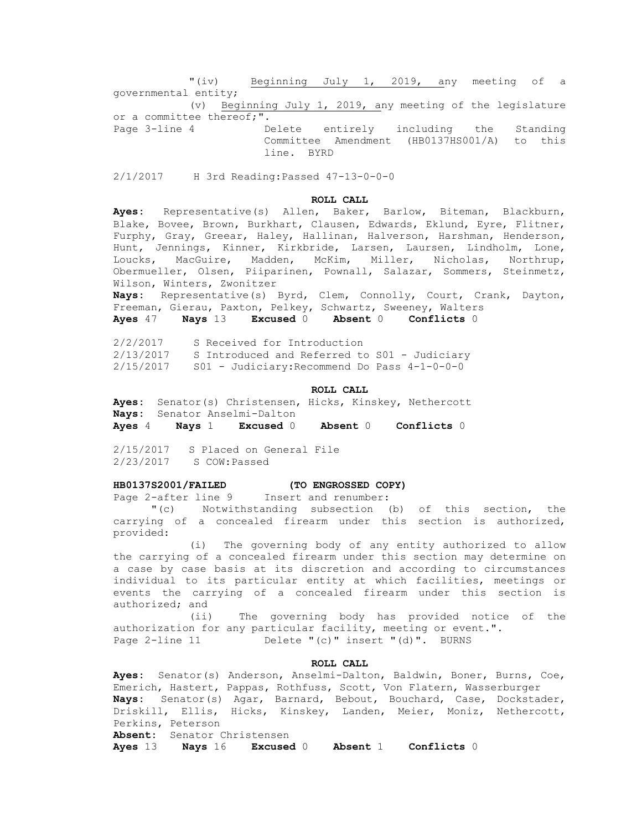"(iv) Beginning July 1, 2019, any meeting of a governmental entity; (v) Beginning July 1, 2019, any meeting of the legislature or a committee thereof;". Page 3-line 4 Delete entirely including the Standing Committee Amendment (HB0137HS001/A) to this line. BYRD

2/1/2017 H 3rd Reading:Passed 47-13-0-0-0

# **ROLL CALL**

**Ayes:** Representative(s) Allen, Baker, Barlow, Biteman, Blackburn, Blake, Bovee, Brown, Burkhart, Clausen, Edwards, Eklund, Eyre, Flitner, Furphy, Gray, Greear, Haley, Hallinan, Halverson, Harshman, Henderson, Hunt, Jennings, Kinner, Kirkbride, Larsen, Laursen, Lindholm, Lone, Loucks, MacGuire, Madden, McKim, Miller, Nicholas, Northrup, Obermueller, Olsen, Piiparinen, Pownall, Salazar, Sommers, Steinmetz, Wilson, Winters, Zwonitzer

**Nays:** Representative(s) Byrd, Clem, Connolly, Court, Crank, Dayton, Freeman, Gierau, Paxton, Pelkey, Schwartz, Sweeney, Walters

**Ayes** 47 **Nays** 13 **Excused** 0 **Absent** 0 **Conflicts** 0

2/2/2017 S Received for Introduction 2/13/2017 S Introduced and Referred to S01 - Judiciary 2/15/2017 S01 - Judiciary:Recommend Do Pass 4-1-0-0-0

### **ROLL CALL**

**Ayes:** Senator(s) Christensen, Hicks, Kinskey, Nethercott **Nays:** Senator Anselmi-Dalton **Ayes** 4 **Nays** 1 **Excused** 0 **Absent** 0 **Conflicts** 0

2/15/2017 S Placed on General File 2/23/2017 S COW:Passed

# **HB0137S2001/FAILED (TO ENGROSSED COPY)**

Page 2-after line 9 Insert and renumber:

"(c) Notwithstanding subsection (b) of this section, the carrying of a concealed firearm under this section is authorized, provided:

(i) The governing body of any entity authorized to allow the carrying of a concealed firearm under this section may determine on a case by case basis at its discretion and according to circumstances individual to its particular entity at which facilities, meetings or events the carrying of a concealed firearm under this section is authorized; and

(ii) The governing body has provided notice of the authorization for any particular facility, meeting or event.". Page 2-line 11 Delete "(c)" insert "(d)". BURNS

# **ROLL CALL**

**Ayes:** Senator(s) Anderson, Anselmi-Dalton, Baldwin, Boner, Burns, Coe, Emerich, Hastert, Pappas, Rothfuss, Scott, Von Flatern, Wasserburger **Nays:** Senator(s) Agar, Barnard, Bebout, Bouchard, Case, Dockstader, Driskill, Ellis, Hicks, Kinskey, Landen, Meier, Moniz, Nethercott, Perkins, Peterson **Absent:** Senator Christensen

**Ayes** 13 **Nays** 16 **Excused** 0 **Absent** 1 **Conflicts** 0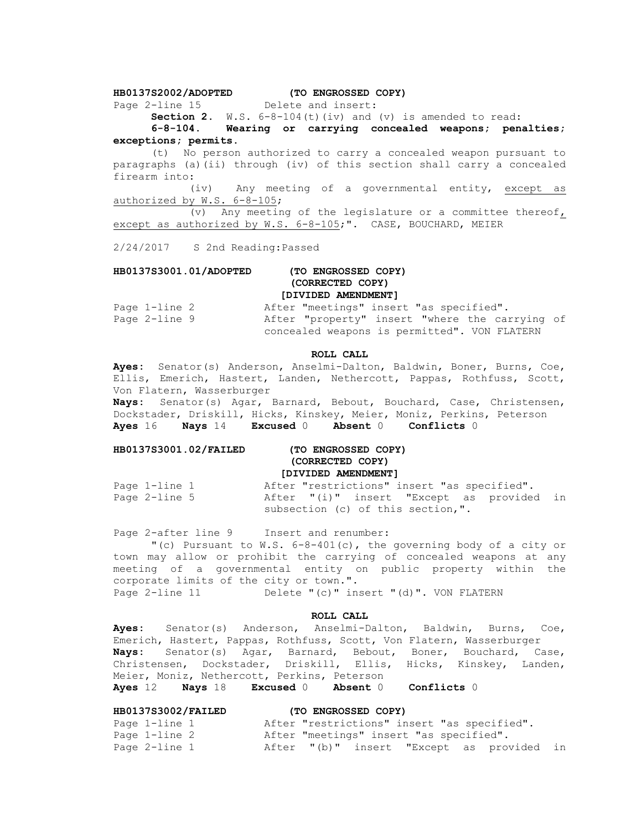# **HB0137S2002/ADOPTED (TO ENGROSSED COPY)**

Page 2-line 15

**Section 2.** W.S. 6-8-104(t)(iv) and (v) is amended to read:

**6-8-104. Wearing or carrying concealed weapons; penalties; exceptions; permits.**

(t) No person authorized to carry a concealed weapon pursuant to paragraphs (a)(ii) through (iv) of this section shall carry a concealed firearm into:

(iv) Any meeting of a governmental entity, except as authorized by W.S. 6-8-105;

(v) Any meeting of the legislature or a committee thereof, except as authorized by W.S. 6-8-105;". CASE, BOUCHARD, MEIER

2/24/2017 S 2nd Reading:Passed

# **HB0137S3001.01/ADOPTED (TO ENGROSSED COPY) (CORRECTED COPY) [DIVIDED AMENDMENT]**

| Page 1-line 2 | After "meetings" insert "as specified".        |  |  |  |
|---------------|------------------------------------------------|--|--|--|
| Page 2-line 9 | After "property" insert "where the carrying of |  |  |  |
|               | concealed weapons is permitted". VON FLATERN   |  |  |  |

### **ROLL CALL**

**Ayes:** Senator(s) Anderson, Anselmi-Dalton, Baldwin, Boner, Burns, Coe, Ellis, Emerich, Hastert, Landen, Nethercott, Pappas, Rothfuss, Scott, Von Flatern, Wasserburger

**Nays:** Senator(s) Agar, Barnard, Bebout, Bouchard, Case, Christensen, Dockstader, Driskill, Hicks, Kinskey, Meier, Moniz, Perkins, Peterson **Ayes** 16 **Nays** 14 **Excused** 0 **Absent** 0 **Conflicts** 0

# **HB0137S3001.02/FAILED (TO ENGROSSED COPY) (CORRECTED COPY) [DIVIDED AMENDMENT]**

Page 1-line 1 The After "restrictions" insert "as specified". Page 2-line 5 After "(i)" insert "Except as provided in subsection (c) of this section,".

Page 2-after line 9 Insert and renumber:

"(c) Pursuant to  $W.S. 6-8-401(c)$ , the governing body of a city or town may allow or prohibit the carrying of concealed weapons at any meeting of a governmental entity on public property within the corporate limits of the city or town.". Page 2-line 11 Delete "(c)" insert "(d)". VON FLATERN

### **ROLL CALL**

**Ayes:** Senator(s) Anderson, Anselmi-Dalton, Baldwin, Burns, Coe, Emerich, Hastert, Pappas, Rothfuss, Scott, Von Flatern, Wasserburger **Nays:** Senator(s) Agar, Barnard, Bebout, Boner, Bouchard, Case, Christensen, Dockstader, Driskill, Ellis, Hicks, Kinskey, Landen, Meier, Moniz, Nethercott, Perkins, Peterson **Ayes** 12 **Nays** 18 **Excused** 0 **Absent** 0 **Conflicts** 0

| <b>HB0137S3002/FAILED</b> | (TO ENGROSSED COPY)                         |  |
|---------------------------|---------------------------------------------|--|
| Page 1-line 1             | After "restrictions" insert "as specified". |  |
| Page 1-line 2             | After "meetings" insert "as specified".     |  |
| Page 2-line 1             | After "(b)" insert "Except as provided in   |  |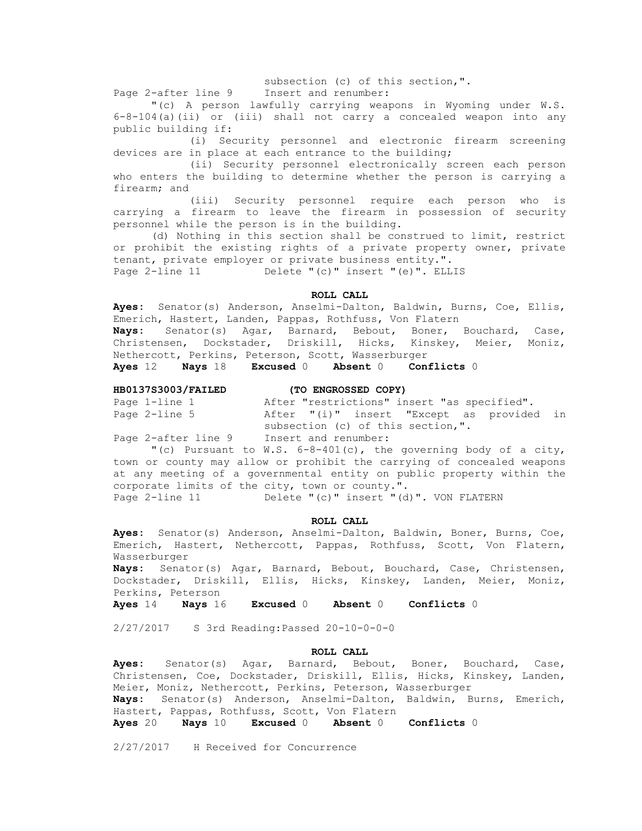subsection (c) of this section,".

Page 2-after line 9 Insert and renumber:

"(c) A person lawfully carrying weapons in Wyoming under W.S. 6-8-104(a)(ii) or (iii) shall not carry a concealed weapon into any public building if:

(i) Security personnel and electronic firearm screening devices are in place at each entrance to the building;

(ii) Security personnel electronically screen each person who enters the building to determine whether the person is carrying a firearm; and

(iii) Security personnel require each person who is carrying a firearm to leave the firearm in possession of security personnel while the person is in the building.

(d) Nothing in this section shall be construed to limit, restrict or prohibit the existing rights of a private property owner, private tenant, private employer or private business entity.". Page 2-line 11 Delete "(c)" insert "(e)". ELLIS

# **ROLL CALL**

**Ayes:** Senator(s) Anderson, Anselmi-Dalton, Baldwin, Burns, Coe, Ellis, Emerich, Hastert, Landen, Pappas, Rothfuss, Von Flatern **Nays:** Senator(s) Agar, Barnard, Bebout, Boner, Bouchard, Case, Christensen, Dockstader, Driskill, Hicks, Kinskey, Meier, Moniz, Nethercott, Perkins, Peterson, Scott, Wasserburger **Ayes** 12 **Nays** 18 **Excused** 0 **Absent** 0 **Conflicts** 0

# **HB0137S3003/FAILED (TO ENGROSSED COPY)**

| Page 1-line 1       |                      | After "restrictions" insert "as specified". |                                           |  |
|---------------------|----------------------|---------------------------------------------|-------------------------------------------|--|
| Page 2-line 5       |                      |                                             | After "(i)" insert "Except as provided in |  |
|                     |                      | subsection (c) of this section,".           |                                           |  |
| Page 2-after line 9 | Insert and renumber: |                                             |                                           |  |

"(c) Pursuant to W.S. 6-8-401(c), the governing body of a city, town or county may allow or prohibit the carrying of concealed weapons at any meeting of a governmental entity on public property within the corporate limits of the city, town or county.".

Page 2-line 11 Delete "(c)" insert "(d)". VON FLATERN

# **ROLL CALL**

**Ayes:** Senator(s) Anderson, Anselmi-Dalton, Baldwin, Boner, Burns, Coe, Emerich, Hastert, Nethercott, Pappas, Rothfuss, Scott, Von Flatern, Wasserburger

**Nays:** Senator(s) Agar, Barnard, Bebout, Bouchard, Case, Christensen, Dockstader, Driskill, Ellis, Hicks, Kinskey, Landen, Meier, Moniz, Perkins, Peterson

**Ayes** 14 **Nays** 16 **Excused** 0 **Absent** 0 **Conflicts** 0

2/27/2017 S 3rd Reading:Passed 20-10-0-0-0

### **ROLL CALL**

**Ayes:** Senator(s) Agar, Barnard, Bebout, Boner, Bouchard, Case, Christensen, Coe, Dockstader, Driskill, Ellis, Hicks, Kinskey, Landen, Meier, Moniz, Nethercott, Perkins, Peterson, Wasserburger **Nays:** Senator(s) Anderson, Anselmi-Dalton, Baldwin, Burns, Emerich, Hastert, Pappas, Rothfuss, Scott, Von Flatern **Ayes** 20 **Nays** 10 **Excused** 0 **Absent** 0 **Conflicts** 0

2/27/2017 H Received for Concurrence